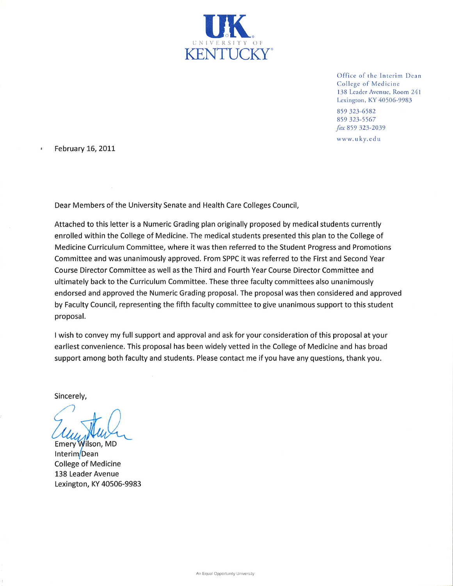

Office of the Interim Dean College of Medicine 138 Leader Avenue, Room 241 Lexington, KY 40506-9983

859 323-6582 859 323-5567 fax 859 323-2039

www.uky.edu

February 16, 2011

Dear Members of the University Senate and Health Care Colleges Council,

Attached to this letter is a Numeric Grading plan originally proposed by medical students currently enrolled within the College of Medicine. The medical students presented this plan to the College of Medicine Curriculum Committee, where it was then referred to the Student Progress and Promotions Committee and was unanimously approved. From SPPC it was referred to the First and Second Year Course Director Committee as well as the Third and Fourth Year Course Director Committee and ultimately back to the Curriculum Committee. These three faculty committees also unanimously endorsed and approved the Numeric Grading proposal. The proposal was then considered and approved by Faculty Council, representing the fifth faculty committee to give unanimous support to this student proposal.

I wish to convey my full support and approval and ask for your consideration of this proposal at your earliest convenience. This proposal has been widely vetted in the College of Medicine and has broad support among both faculty and students. Please contact me if you have any questions, thank you.

Sincerely,

Emery Wilson, MD Interim/Dean **College of Medicine** 138 Leader Avenue Lexington, KY 40506-9983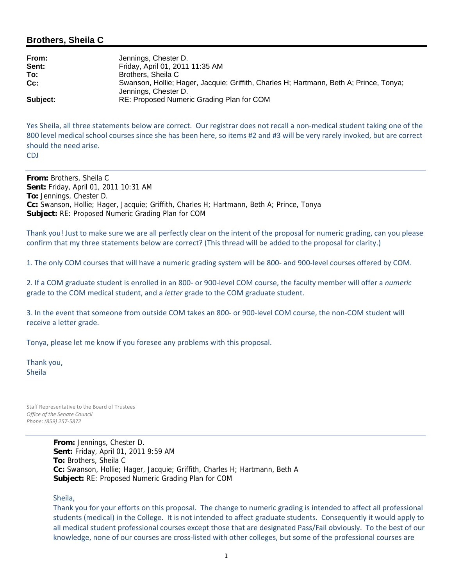## **Brothers, Sheila C**

| From:    | Jennings, Chester D.                                                                                           |
|----------|----------------------------------------------------------------------------------------------------------------|
| Sent:    | Friday, April 01, 2011 11:35 AM                                                                                |
| To:      | Brothers, Sheila C                                                                                             |
| $Cc$ :   | Swanson, Hollie; Hager, Jacquie; Griffith, Charles H; Hartmann, Beth A; Prince, Tonya;<br>Jennings, Chester D. |
| Subject: | RE: Proposed Numeric Grading Plan for COM                                                                      |

Yes Sheila, all three statements below are correct. Our registrar does not recall a non-medical student taking one of the 800 level medical school courses since she has been here, so items #2 and #3 will be very rarely invoked, but are correct should the need arise. CDJ

**From:** Brothers, Sheila C **Sent:** Friday, April 01, 2011 10:31 AM **To:** Jennings, Chester D. **Cc:** Swanson, Hollie; Hager, Jacquie; Griffith, Charles H; Hartmann, Beth A; Prince, Tonya **Subject:** RE: Proposed Numeric Grading Plan for COM

Thank you! Just to make sure we are all perfectly clear on the intent of the proposal for numeric grading, can you please confirm that my three statements below are correct? (This thread will be added to the proposal for clarity.)

1. The only COM courses that will have a numeric grading system will be 800‐ and 900‐level courses offered by COM.

2. If a COM graduate student is enrolled in an 800‐ or 900‐level COM course, the faculty member will offer a *numeric* grade to the COM medical student, and a *letter* grade to the COM graduate student.

3. In the event that someone from outside COM takes an 800‐ or 900‐level COM course, the non‐COM student will receive a letter grade.

Tonya, please let me know if you foresee any problems with this proposal.

Thank you, Sheila

Staff Representative to the Board of Trustees *Office of the Senate Council Phone: (859) 257‐5872*

> **From:** Jennings, Chester D. **Sent:** Friday, April 01, 2011 9:59 AM **To:** Brothers, Sheila C **Cc:** Swanson, Hollie; Hager, Jacquie; Griffith, Charles H; Hartmann, Beth A **Subject:** RE: Proposed Numeric Grading Plan for COM

Sheila,

Thank you for your efforts on this proposal. The change to numeric grading is intended to affect all professional students (medical) in the College. It is not intended to affect graduate students. Consequently it would apply to all medical student professional courses except those that are designated Pass/Fail obviously. To the best of our knowledge, none of our courses are cross‐listed with other colleges, but some of the professional courses are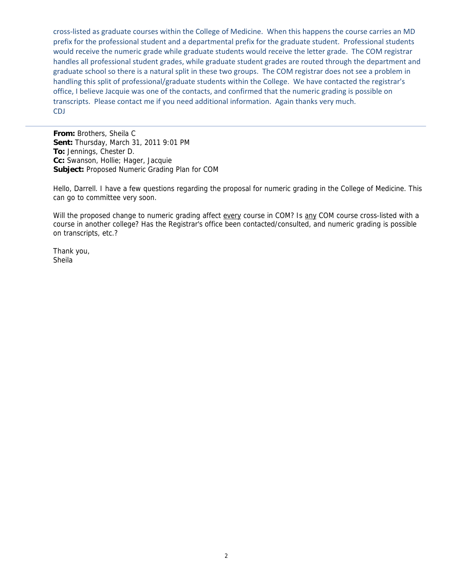cross‐listed as graduate courses within the College of Medicine. When this happens the course carries an MD prefix for the professional student and a departmental prefix for the graduate student. Professional students would receive the numeric grade while graduate students would receive the letter grade. The COM registrar handles all professional student grades, while graduate student grades are routed through the department and graduate school so there is a natural split in these two groups. The COM registrar does not see a problem in handling this split of professional/graduate students within the College. We have contacted the registrar's office, I believe Jacquie was one of the contacts, and confirmed that the numeric grading is possible on transcripts. Please contact me if you need additional information. Again thanks very much. CDJ

**From:** Brothers, Sheila C **Sent:** Thursday, March 31, 2011 9:01 PM **To:** Jennings, Chester D. **Cc:** Swanson, Hollie; Hager, Jacquie **Subject:** Proposed Numeric Grading Plan for COM

Hello, Darrell. I have a few questions regarding the proposal for numeric grading in the College of Medicine. This can go to committee very soon.

Will the proposed change to numeric grading affect every course in COM? Is any COM course cross-listed with a course in another college? Has the Registrar's office been contacted/consulted, and numeric grading is possible on transcripts, etc.?

Thank you, Sheila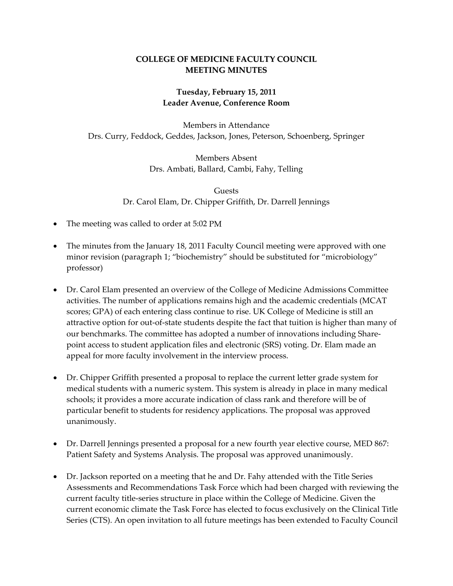## **COLLEGE OF MEDICINE FACULTY COUNCIL MEETING MINUTES**

# **Tuesday, February 15, 2011 Leader Avenue, Conference Room**

Members in Attendance Drs. Curry, Feddock, Geddes, Jackson, Jones, Peterson, Schoenberg, Springer

> Members Absent Drs. Ambati, Ballard, Cambi, Fahy, Telling

Guests Dr. Carol Elam, Dr. Chipper Griffith, Dr. Darrell Jennings

- The meeting was called to order at 5:02 PM
- The minutes from the January 18, 2011 Faculty Council meeting were approved with one minor revision (paragraph 1; "biochemistry" should be substituted for "microbiology" professor)
- Dr. Carol Elam presented an overview of the College of Medicine Admissions Committee activities. The number of applications remains high and the academic credentials (MCAT scores; GPA) of each entering class continue to rise. UK College of Medicine is still an attractive option for out‐of‐state students despite the fact that tuition is higher than many of our benchmarks. The committee has adopted a number of innovations including Share‐ point access to student application files and electronic (SRS) voting. Dr. Elam made an appeal for more faculty involvement in the interview process.
- Dr. Chipper Griffith presented a proposal to replace the current letter grade system for medical students with a numeric system. This system is already in place in many medical schools; it provides a more accurate indication of class rank and therefore will be of particular benefit to students for residency applications. The proposal was approved unanimously.
- Dr. Darrell Jennings presented a proposal for a new fourth year elective course, MED 867: Patient Safety and Systems Analysis. The proposal was approved unanimously.
- Dr. Jackson reported on a meeting that he and Dr. Fahy attended with the Title Series Assessments and Recommendations Task Force which had been charged with reviewing the current faculty title‐series structure in place within the College of Medicine. Given the current economic climate the Task Force has elected to focus exclusively on the Clinical Title Series (CTS). An open invitation to all future meetings has been extended to Faculty Council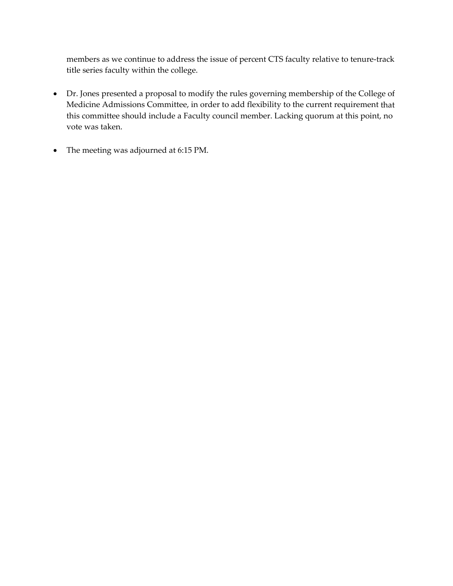members as we continue to address the issue of percent CTS faculty relative to tenure‐track title series faculty within the college.

- Dr. Jones presented a proposal to modify the rules governing membership of the College of Medicine Admissions Committee, in order to add flexibility to the current requirement that this committee should include a Faculty council member. Lacking quorum at this point, no vote was taken.
- The meeting was adjourned at 6:15 PM.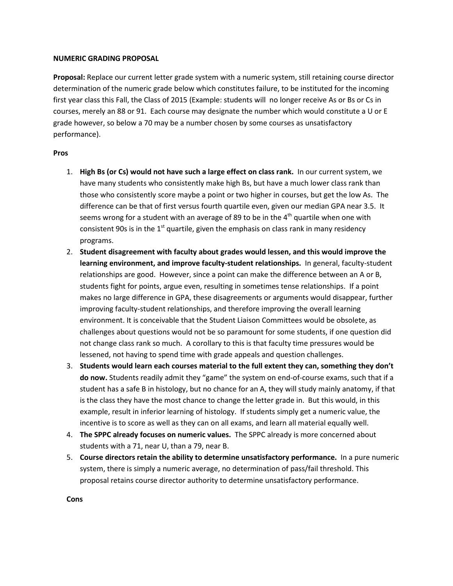#### **NUMERIC GRADING PROPOSAL**

**Proposal:** Replace our current letter grade system with a numeric system, still retaining course director determination of the numeric grade below which constitutes failure, to be instituted for the incoming first year class this Fall, the Class of 2015 (Example: students will no longer receive As or Bs or Cs in courses, merely an 88 or 91. Each course may designate the number which would constitute a U or E grade however, so below a 70 may be a number chosen by some courses as unsatisfactory performance).

### **Pros**

- 1. **High Bs (or Cs) would not have such a large effect on class rank.** In our current system, we have many students who consistently make high Bs, but have a much lower class rank than those who consistently score maybe a point or two higher in courses, but get the low As. The difference can be that of first versus fourth quartile even, given our median GPA near 3.5. It seems wrong for a student with an average of 89 to be in the  $4<sup>th</sup>$  quartile when one with consistent 90s is in the  $1<sup>st</sup>$  quartile, given the emphasis on class rank in many residency programs.
- 2. **Student disagreement with faculty about grades would lessen, and this would improve the learning environment, and improve faculty-student relationships.** In general, faculty-student relationships are good. However, since a point can make the difference between an A or B, students fight for points, argue even, resulting in sometimes tense relationships. If a point makes no large difference in GPA, these disagreements or arguments would disappear, further improving faculty-student relationships, and therefore improving the overall learning environment. It is conceivable that the Student Liaison Committees would be obsolete, as challenges about questions would not be so paramount for some students, if one question did not change class rank so much. A corollary to this is that faculty time pressures would be lessened, not having to spend time with grade appeals and question challenges.
- 3. **Students would learn each courses material to the full extent they can, something they don't do now.** Students readily admit they "game" the system on end-of-course exams, such that if a student has a safe B in histology, but no chance for an A, they will study mainly anatomy, if that is the class they have the most chance to change the letter grade in. But this would, in this example, result in inferior learning of histology. If students simply get a numeric value, the incentive is to score as well as they can on all exams, and learn all material equally well.
- 4. **The SPPC already focuses on numeric values.** The SPPC already is more concerned about students with a 71, near U, than a 79, near B.
- 5. **Course directors retain the ability to determine unsatisfactory performance.** In a pure numeric system, there is simply a numeric average, no determination of pass/fail threshold. This proposal retains course director authority to determine unsatisfactory performance.

**Cons**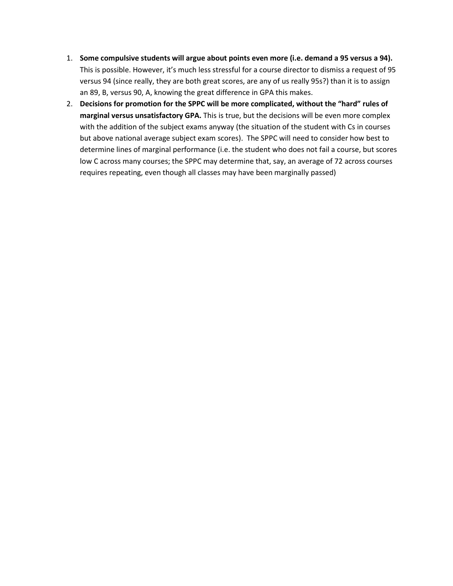- 1. **Some compulsive students will argue about points even more (i.e. demand a 95 versus a 94).** This is possible. However, it's much less stressful for a course director to dismiss a request of 95 versus 94 (since really, they are both great scores, are any of us really 95s?) than it is to assign an 89, B, versus 90, A, knowing the great difference in GPA this makes.
- 2. **Decisions for promotion for the SPPC will be more complicated, without the "hard" rules of marginal versus unsatisfactory GPA.** This is true, but the decisions will be even more complex with the addition of the subject exams anyway (the situation of the student with Cs in courses but above national average subject exam scores). The SPPC will need to consider how best to determine lines of marginal performance (i.e. the student who does not fail a course, but scores low C across many courses; the SPPC may determine that, say, an average of 72 across courses requires repeating, even though all classes may have been marginally passed)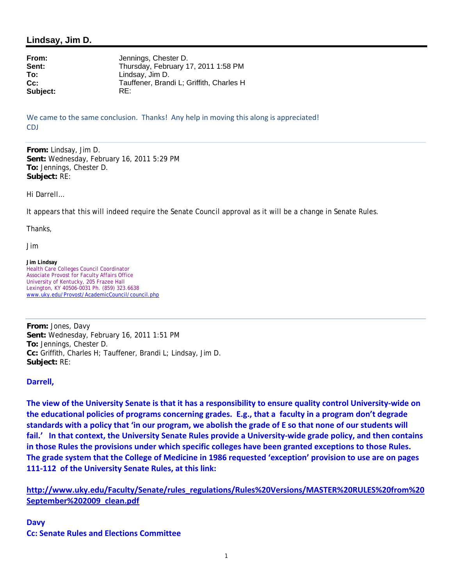## **Lindsay, Jim D.**

**Subject:** RE:

**From:** Jennings, Chester D. **Sent:** Thursday, February 17, 2011 1:58 PM<br>
To: Cindsay, Jim D. **To:** Lindsay, Jim D. **Cc:** Tauffener, Brandi L; Griffith, Charles H

We came to the same conclusion. Thanks! Any help in moving this along is appreciated! CDJ

**From:** Lindsay, Jim D. **Sent:** Wednesday, February 16, 2011 5:29 PM **To:** Jennings, Chester D. **Subject:** RE:

Hi Darrell…

It appears that this will indeed require the Senate Council approval as it will be a change in Senate Rules.

Thanks,

Jim

**Jim Lindsay** Health Care Colleges Council Coordinator Associate Provost for Faculty Affairs Office University of Kentucky, 205 Frazee Hall Lexington, KY 40506-0031 Ph. (859) 323.6638 www.uky.edu/Provost/AcademicCouncil/council.php

**From:** Jones, Davy **Sent:** Wednesday, February 16, 2011 1:51 PM **To:** Jennings, Chester D. **Cc:** Griffith, Charles H; Tauffener, Brandi L; Lindsay, Jim D. **Subject:** RE:

### **Darrell,**

The view of the University Senate is that it has a responsibility to ensure quality control University-wide on the educational policies of programs concerning grades. E.g., that a faculty in a program don't degrade standards with a policy that 'in our program, we abolish the grade of E so that none of our students will fail.' In that context, the University Senate Rules provide a University-wide grade policy, and then contains in those Rules the provisions under which specific colleges have been granted exceptions to those Rules. The grade system that the College of Medicine in 1986 requested 'exception' provision to use are on pages **111‐112 of the University Senate Rules, at this link:**

**http://www.uky.edu/Faculty/Senate/rules\_regulations/Rules%20Versions/MASTER%20RULES%20from%20 September%202009\_clean.pdf**

**Davy Cc: Senate Rules and Elections Committee**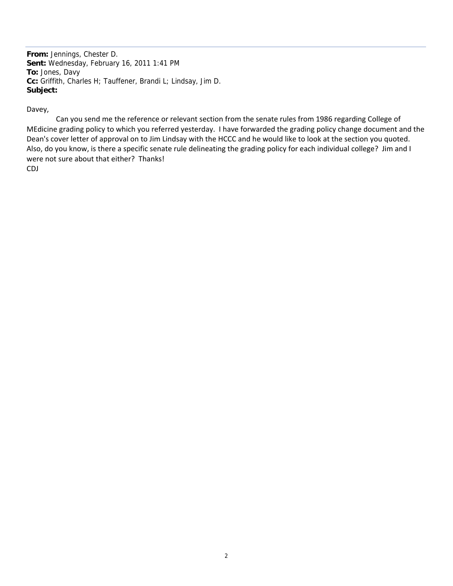**From:** Jennings, Chester D. **Sent:** Wednesday, February 16, 2011 1:41 PM **To:** Jones, Davy **Cc:** Griffith, Charles H; Tauffener, Brandi L; Lindsay, Jim D. **Subject:**

### Davey,

 Can you send me the reference or relevant section from the senate rules from 1986 regarding College of MEdicine grading policy to which you referred yesterday. I have forwarded the grading policy change document and the Dean's cover letter of approval on to Jim Lindsay with the HCCC and he would like to look at the section you quoted. Also, do you know, is there a specific senate rule delineating the grading policy for each individual college? Jim and I were not sure about that either? Thanks! CDJ

2